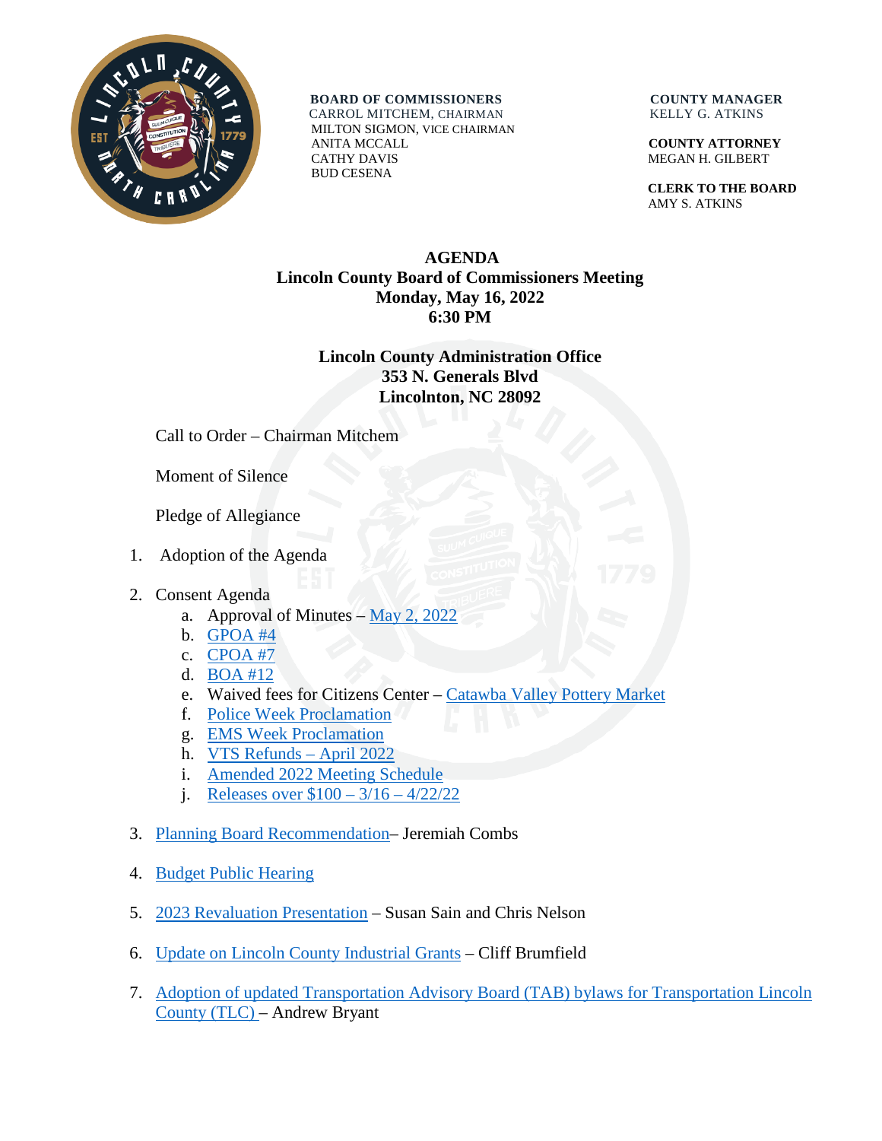

**BOARD OF COMMISSIONERS COUNTY MANAGER** CARROL MITCHEM, CHAIRMAN KELLY G. ATKINS

 MILTON SIGMON, VICE CHAIRMAN ANITA MCCALL **COUNTY ATTORNEY** CATHY DAVIS MEGAN H. GILBERT BUD CESENA

 **CLERK TO THE BOARD** AMY S. ATKINS

## **AGENDA Lincoln County Board of Commissioners Meeting Monday, May 16, 2022 6:30 PM**

## **Lincoln County Administration Office 353 N. Generals Blvd Lincolnton, NC 28092**

Call to Order – Chairman Mitchem

Moment of Silence

Pledge of Allegiance

- 1. Adoption of the Agenda
- 2. Consent Agenda
	- a. Approval of Minutes  $-\underline{May\ 2, 2022}$
	- b. [GPOA #4](https://www.lincolncounty.org/DocumentCenter/View/18948/051622Item2b)
	- c. [CPOA #7](https://www.lincolncounty.org/DocumentCenter/View/18949/051622Item2c)
	- d. [BOA #12](https://www.lincolncounty.org/DocumentCenter/View/18950/051622Item2d)
	- e. Waived fees for Citizens Center [Catawba Valley Pottery Market](https://www.lincolncounty.org/DocumentCenter/View/18951/051622Item2e)
	- f. [Police Week Proclamation](https://www.lincolncounty.org/DocumentCenter/View/18952/051622Item2f)
	- g. [EMS Week Proclamation](https://www.lincolncounty.org/DocumentCenter/View/18953/051622Item2g)
	- h. [VTS Refunds](https://www.lincolncounty.org/DocumentCenter/View/18954/051622Item2h) April 2022
	- i. [Amended 2022 Meeting Schedule](https://www.lincolncounty.org/DocumentCenter/View/18955/051622Item2i)
	- j. [Releases over \\$100 –](https://www.lincolncounty.org/DocumentCenter/View/18956/051622Item2j) 3/16 4/22/22
- 3. [Planning Board Recommendation–](https://www.lincolncounty.org/DocumentCenter/View/18957/051622Item3) Jeremiah Combs
- 4. [Budget Public Hearing](https://www.lincolncounty.org/DocumentCenter/View/18970/051622Item4)
- 5. [2023 Revaluation Presentation](https://www.lincolncounty.org/DocumentCenter/View/18958/051622Item5) Susan Sain and Chris Nelson
- 6. [Update on Lincoln County Industrial Grants](https://www.lincolncounty.org/DocumentCenter/View/18959/051622Item6) Cliff Brumfield
- 7. [Adoption of updated Transportation Advisory Board \(TAB\) bylaws for Transportation Lincoln](https://www.lincolncounty.org/DocumentCenter/View/18960/051622Item7)  [County \(TLC\) –](https://www.lincolncounty.org/DocumentCenter/View/18960/051622Item7) Andrew Bryant